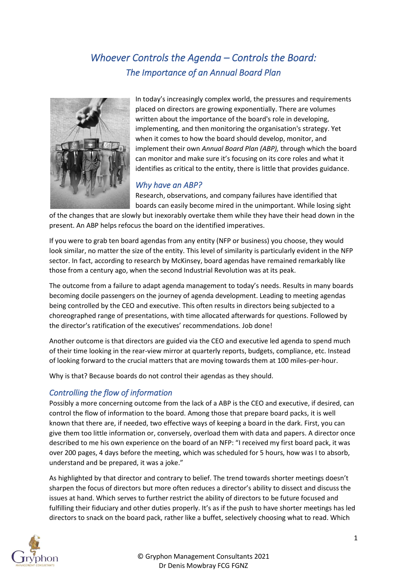# *Whoever Controls the Agenda – Controls the Board: The Importance of an Annual Board Plan*



In today's increasingly complex world, the pressures and requirements placed on directors are growing exponentially. There are volumes written about the importance of the board's role in developing, implementing, and then monitoring the organisation's strategy. Yet when it comes to how the board should develop, monitor, and implement their own *Annual Board Plan (ABP),* through which the board can monitor and make sure it's focusing on its core roles and what it identifies as critical to the entity, there is little that provides guidance.

## *Why have an ABP?*

Research, observations, and company failures have identified that boards can easily become mired in the unimportant. While losing sight

of the changes that are slowly but inexorably overtake them while they have their head down in the present. An ABP helps refocus the board on the identified imperatives.

If you were to grab ten board agendas from any entity (NFP or business) you choose, they would look similar, no matter the size of the entity. This level of similarity is particularly evident in the NFP sector. In fact, according to research by McKinsey, board agendas have remained remarkably like those from a century ago, when the second Industrial Revolution was at its peak.

The outcome from a failure to adapt agenda management to today's needs. Results in many boards becoming docile passengers on the journey of agenda development. Leading to meeting agendas being controlled by the CEO and executive. This often results in directors being subjected to a choreographed range of presentations, with time allocated afterwards for questions. Followed by the director's ratification of the executives' recommendations. Job done!

Another outcome is that directors are guided via the CEO and executive led agenda to spend much of their time looking in the rear-view mirror at quarterly reports, budgets, compliance, etc. Instead of looking forward to the crucial matters that are moving towards them at 100 miles-per-hour.

Why is that? Because boards do not control their agendas as they should.

## *Controlling the flow of information*

Possibly a more concerning outcome from the lack of a ABP is the CEO and executive, if desired, can control the flow of information to the board. Among those that prepare board packs, it is well known that there are, if needed, two effective ways of keeping a board in the dark. First, you can give them too little information or, conversely, overload them with data and papers. A director once described to me his own experience on the board of an NFP: "I received my first board pack, it was over 200 pages, 4 days before the meeting, which was scheduled for 5 hours, how was I to absorb, understand and be prepared, it was a joke."

As highlighted by that director and contrary to belief. The trend towards shorter meetings doesn't sharpen the focus of directors but more often reduces a director's ability to dissect and discuss the issues at hand. Which serves to further restrict the ability of directors to be future focused and fulfilling their fiduciary and other duties properly. It's as if the push to have shorter meetings has led directors to snack on the board pack, rather like a buffet, selectively choosing what to read. Which

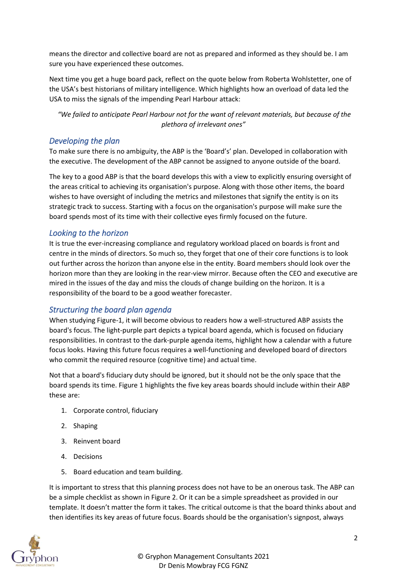means the director and collective board are not as prepared and informed as they should be. I am sure you have experienced these outcomes.

Next time you get a huge board pack, reflect on the quote below from Roberta Wohlstetter, one of the USA's best historians of military intelligence. Which highlights how an overload of data led the USA to miss the signals of the impending Pearl Harbour attack:

*"We failed to anticipate Pearl Harbour not for the want of relevant materials, but because of the plethora of irrelevant ones"*

### *Developing the plan*

To make sure there is no ambiguity, the ABP is the 'Board's' plan. Developed in collaboration with the executive. The development of the ABP cannot be assigned to anyone outside of the board.

The key to a good ABP is that the board develops this with a view to explicitly ensuring oversight of the areas critical to achieving its organisation's purpose. Along with those other items, the board wishes to have oversight of including the metrics and milestones that signify the entity is on its strategic track to success. Starting with a focus on the organisation's purpose will make sure the board spends most of its time with their collective eyes firmly focused on the future.

### *Looking to the horizon*

It is true the ever-increasing compliance and regulatory workload placed on boards is front and centre in the minds of directors. So much so, they forget that one of their core functions is to look out further across the horizon than anyone else in the entity. Board members should look over the horizon more than they are looking in the rear-view mirror. Because often the CEO and executive are mired in the issues of the day and miss the clouds of change building on the horizon. It is a responsibility of the board to be a good weather forecaster.

## *Structuring the board plan agenda*

When studying Figure-1, it will become obvious to readers how a well-structured ABP assists the board's focus. The light-purple part depicts a typical board agenda, which is focused on fiduciary responsibilities. In contrast to the dark-purple agenda items, highlight how a calendar with a future focus looks. Having this future focus requires a well-functioning and developed board of directors who commit the required resource (cognitive time) and actual time.

Not that a board's fiduciary duty should be ignored, but it should not be the only space that the board spends its time. Figure 1 highlights the five key areas boards should include within their ABP these are:

- 1. Corporate control, fiduciary
- 2. Shaping
- 3. Reinvent board
- 4. Decisions
- 5. Board education and team building.

It is important to stress that this planning process does not have to be an onerous task. The ABP can be a simple checklist as shown in Figure 2. Or it can be a simple spreadsheet as provided in our template. It doesn't matter the form it takes. The critical outcome is that the board thinks about and then identifies its key areas of future focus. Boards should be the organisation's signpost, always

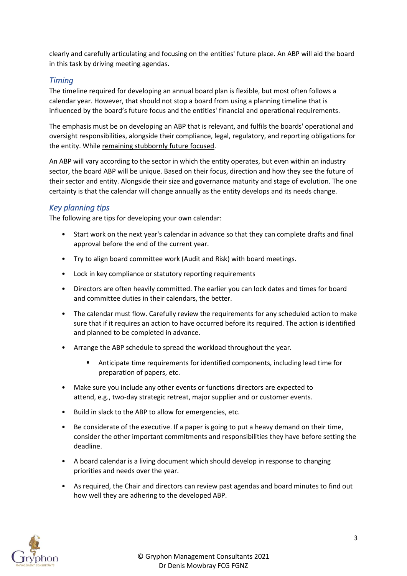clearly and carefully articulating and focusing on the entities' future place. An ABP will aid the board in this task by driving meeting agendas.

### *Timing*

The timeline required for developing an annual board plan is flexible, but most often follows a calendar year. However, that should not stop a board from using a planning timeline that is influenced by the board's future focus and the entities' financial and operational requirements.

The emphasis must be on developing an ABP that is relevant, and fulfils the boards' operational and oversight responsibilities, alongside their compliance, legal, regulatory, and reporting obligations for the entity. While remaining stubbornly future focused.

An ABP will vary according to the sector in which the entity operates, but even within an industry sector, the board ABP will be unique. Based on their focus, direction and how they see the future of their sector and entity. Alongside their size and governance maturity and stage of evolution. The one certainty is that the calendar will change annually as the entity develops and its needs change.

## *Key planning tips*

The following are tips for developing your own calendar:

- Start work on the next year's calendar in advance so that they can complete drafts and final approval before the end of the current year.
- Try to align board committee work (Audit and Risk) with board meetings.
- Lock in key compliance or statutory reporting requirements
- Directors are often heavily committed. The earlier you can lock dates and times for board and committee duties in their calendars, the better.
- The calendar must flow. Carefully review the requirements for any scheduled action to make sure that if it requires an action to have occurred before its required. The action is identified and planned to be completed in advance.
- Arrange the ABP schedule to spread the workload throughout the year.
	- Anticipate time requirements for identified components, including lead time for preparation of papers, etc.
- Make sure you include any other events or functions directors are expected to attend, e.g., two-day strategic retreat, major supplier and or customer events.
- Build in slack to the ABP to allow for emergencies, etc.
- Be considerate of the executive. If a paper is going to put a heavy demand on their time, consider the other important commitments and responsibilities they have before setting the deadline.
- A board calendar is a living document which should develop in response to changing priorities and needs over the year.
- As required, the Chair and directors can review past agendas and board minutes to find out how well they are adhering to the developed ABP.

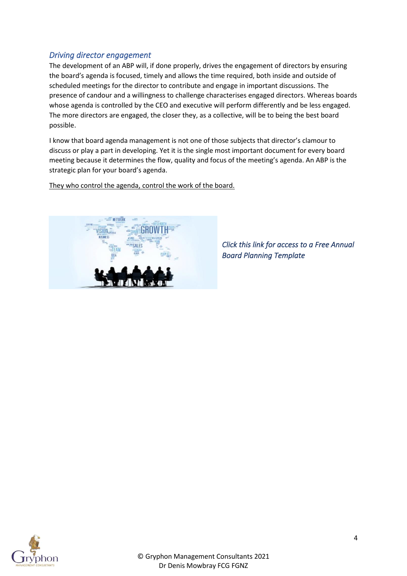## *Driving director engagement*

The development of an ABP will, if done properly, drives the engagement of directors by ensuring the board's agenda is focused, timely and allows the time required, both inside and outside of scheduled meetings for the director to contribute and engage in important discussions. The presence of candour and a willingness to challenge characterises engaged directors. Whereas boards whose agenda is controlled by the CEO and executive will perform differently and be less engaged. The more directors are engaged, the closer they, as a collective, will be to being the best board possible.

I know that board agenda management is not one of those subjects that director's clamour to discuss or play a part in developing. Yet it is the single most important document for every board meeting because it determines the flow, quality and focus of the meeting's agenda. An ABP is the strategic plan for your board's agenda.

They who control the agenda, control the work of the board.



*Click this link for access to a Free Annual Board Planning Template* 

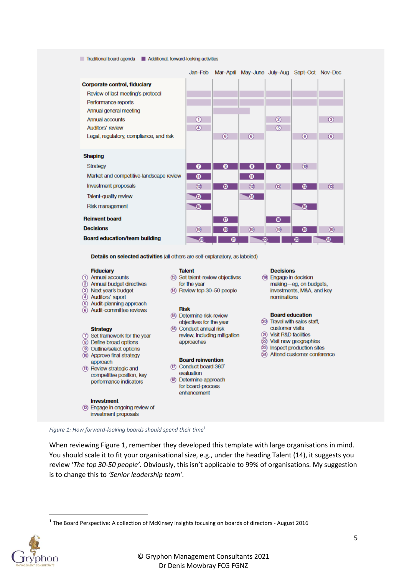#### Traditional board agenda Additional, forward-looking activities

|                                         | Jan-Feb       |               | Mar-April May-June July-Aug Sept-Oct Nov-Dec |                |               |                   |
|-----------------------------------------|---------------|---------------|----------------------------------------------|----------------|---------------|-------------------|
| <b>Corporate control, fiduciary</b>     |               |               |                                              |                |               |                   |
| Review of last meeting's protocol       |               |               |                                              |                |               |                   |
| Performance reports                     |               |               |                                              |                |               |                   |
| Annual general meeting                  |               |               |                                              |                |               |                   |
| Annual accounts                         | Θ             |               |                                              | ◎              |               | $\circled{3}$     |
| Auditors' review                        | $\circled{4}$ |               |                                              | $\circledcirc$ |               |                   |
| Legal, regulatory, compliance, and risk |               | $\circledast$ | $\circ$                                      |                | $\circled{6}$ | $\left( 6\right)$ |
|                                         |               |               |                                              |                |               |                   |
| <b>Shaping</b>                          |               |               |                                              |                |               |                   |
| Strategy                                | 0             | ◙             | ◙                                            | 0              | $^{\circ}$    |                   |
| Market and competitive-landscape review | ⊕             |               | ➊                                            |                |               |                   |
| Investment proposals                    | ℗             | ⊛             |                                              |                | ⊛             | (12)              |
| Talent-quality review                   | ®             |               | ♨                                            |                |               |                   |
| Risk management                         | ந             |               |                                              |                | ⊕             |                   |
| <b>Reinvent board</b>                   |               | ⊕             |                                              | ⊕              |               |                   |
| <b>Decisions</b>                        | (19)          | ⊕             | (19)                                         | (19)           | ⊕             | (19)              |
| <b>Board education/team building</b>    | Æ             | Ø             | 22                                           |                | 23            | 24                |

Details on selected activities (all others are self-explanatory, as labeled)

#### **Fiduciary**

- 1 Annual accounts
- 2 Annual budget directives
- 3 Next year's budget
- 4 Auditors' report
- 5 Audit-planning approach
- 6 Audit-committee reviews

#### **Strategy**

- 7 Set framework for the year
- 8 Define broad options
- **9 Outline/select options**
- (10) Approve final strategy
- approach (ff) Review strategic and competitive position, key performance indicators

#### **Investment** <sup>(12)</sup> Engage in ongoing review of

investment proposals

### **Talent**

- <sup>(3)</sup> Set talent-review objectives for the year
- (4) Review top 30-50 people

#### **Risk**

- (6) Determine risk-review objectives for the year
- (6) Conduct annual risk review, including mitigation approaches

#### **Board reinvention**

- 17 Conduct board 360°
	- evaluation
- (18) Determine approach for board-process enhancement

#### **Decisions**

<sup>49</sup> Engage in decision making-eg, on budgets, investments, M&A, and key nominations

#### **Board education**

- 20 Travel with sales staff, customer visits
- 20 Visit R&D facilities
- 2 Visit new geographies
- 23 Inspect production sites
- 24 Attend customer conference

*Figure 1: How forward-looking boards should spend their time*<sup>1</sup>

When reviewing Figure 1, remember they developed this template with large organisations in mind. You should scale it to fit your organisational size, e.g., under the heading Talent (14), it suggests you review '*The top 30-50 people'.* Obviously, this isn't applicable to 99% of organisations. My suggestion is to change this to *'Senior leadership team'.*

 $<sup>1</sup>$  The Board Perspective: A collection of McKinsey insights focusing on boards of directors - August 2016</sup>

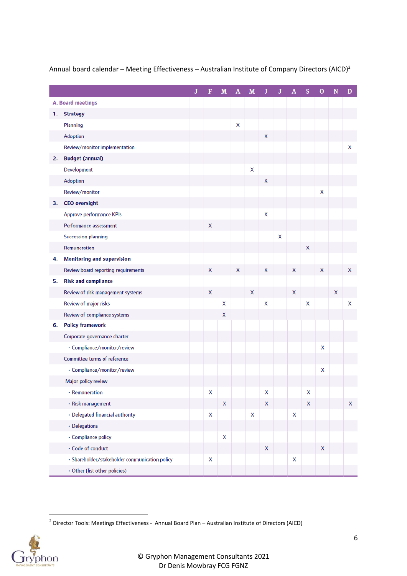|    |                                                | J | F | M | A | M | J | J |   | s | 0                  | N | D |
|----|------------------------------------------------|---|---|---|---|---|---|---|---|---|--------------------|---|---|
|    | A. Board meetings                              |   |   |   |   |   |   |   |   |   |                    |   |   |
| 1. | <b>Strategy</b>                                |   |   |   |   |   |   |   |   |   |                    |   |   |
|    | Planning                                       |   |   |   | x |   |   |   |   |   |                    |   |   |
|    | Adoption                                       |   |   |   |   |   | X |   |   |   |                    |   |   |
|    | Review/monitor implementation                  |   |   |   |   |   |   |   |   |   |                    |   | x |
| 2. | <b>Budget (annual)</b>                         |   |   |   |   |   |   |   |   |   |                    |   |   |
|    | Development                                    |   |   |   |   | x |   |   |   |   |                    |   |   |
|    | Adoption                                       |   |   |   |   |   | X |   |   |   |                    |   |   |
|    | Review/monitor                                 |   |   |   |   |   |   |   |   |   | X                  |   |   |
| з. | <b>CEO</b> oversight                           |   |   |   |   |   |   |   |   |   |                    |   |   |
|    | Approve performance KPIs                       |   |   |   |   |   | X |   |   |   |                    |   |   |
|    | Performance assessment                         |   | X |   |   |   |   |   |   |   |                    |   |   |
|    | <b>Succession planning</b>                     |   |   |   |   |   |   | X |   |   |                    |   |   |
|    | Remuneration                                   |   |   |   |   |   |   |   |   | X |                    |   |   |
| 4. | <b>Monitoring and supervision</b>              |   |   |   |   |   |   |   |   |   |                    |   |   |
|    | Review board reporting requirements            |   | X |   | X |   | X |   | X |   | X                  |   | X |
| 5. | <b>Risk and compliance</b>                     |   |   |   |   |   |   |   |   |   |                    |   |   |
|    | Review of risk management systems              |   | X |   |   | X |   |   | X |   |                    | X |   |
|    | Review of major risks                          |   |   | X |   |   | X |   |   | x |                    |   | X |
|    | Review of compliance systems                   |   |   | X |   |   |   |   |   |   |                    |   |   |
| 6. | <b>Policy framework</b>                        |   |   |   |   |   |   |   |   |   |                    |   |   |
|    | Corporate governance charter                   |   |   |   |   |   |   |   |   |   |                    |   |   |
|    | · Compliance/monitor/review                    |   |   |   |   |   |   |   |   |   | x                  |   |   |
|    | Committee terms of reference                   |   |   |   |   |   |   |   |   |   |                    |   |   |
|    | · Compliance/monitor/review                    |   |   |   |   |   |   |   |   |   | x                  |   |   |
|    | Major policy review                            |   |   |   |   |   |   |   |   |   |                    |   |   |
|    | · Remuneration                                 |   | X |   |   |   | X |   |   | X |                    |   |   |
|    | · Risk management                              |   |   | X |   |   | x |   |   | X |                    |   | X |
|    | · Delegated financial authority                |   | X |   |   | X |   |   | X |   |                    |   |   |
|    | · Delegations                                  |   |   |   |   |   |   |   |   |   |                    |   |   |
|    | · Compliance policy                            |   |   | X |   |   |   |   |   |   |                    |   |   |
|    | · Code of conduct                              |   |   |   |   |   | X |   |   |   | $\pmb{\mathsf{X}}$ |   |   |
|    | · Shareholder/stakeholder communication policy |   | X |   |   |   |   |   | X |   |                    |   |   |
|    | · Other (list other policies)                  |   |   |   |   |   |   |   |   |   |                    |   |   |

### Annual board calendar – Meeting Effectiveness – Australian Institute of Company Directors (AICD)<sup>2</sup>

<sup>2</sup> Director Tools: Meetings Effectiveness - Annual Board Plan – Australian Institute of Directors (AICD)

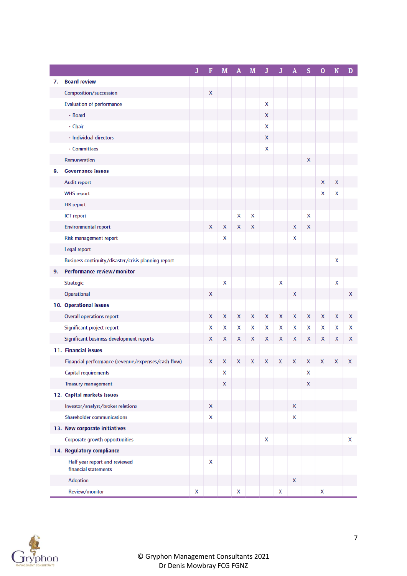|    |                                                       | ${\bf J}$ | F                  | M | A | M | J | J | А                  | s                  | $\bf{0}$ | N | D |
|----|-------------------------------------------------------|-----------|--------------------|---|---|---|---|---|--------------------|--------------------|----------|---|---|
| 7. | <b>Board review</b>                                   |           |                    |   |   |   |   |   |                    |                    |          |   |   |
|    | Composition/succession                                |           | $\pmb{\mathsf{X}}$ |   |   |   |   |   |                    |                    |          |   |   |
|    | <b>Evaluation of performance</b>                      |           |                    |   |   |   | X |   |                    |                    |          |   |   |
|    | · Board                                               |           |                    |   |   |   | X |   |                    |                    |          |   |   |
|    | · Chair                                               |           |                    |   |   |   | X |   |                    |                    |          |   |   |
|    | · Individual directors                                |           |                    |   |   |   | X |   |                    |                    |          |   |   |
|    | • Committees                                          |           |                    |   |   |   | x |   |                    |                    |          |   |   |
|    | Remuneration                                          |           |                    |   |   |   |   |   |                    | X                  |          |   |   |
| 8. | <b>Governance issues</b>                              |           |                    |   |   |   |   |   |                    |                    |          |   |   |
|    | Audit report                                          |           |                    |   |   |   |   |   |                    |                    | X        | X |   |
|    | <b>WHS report</b>                                     |           |                    |   |   |   |   |   |                    |                    | X        | X |   |
|    | <b>HR</b> report                                      |           |                    |   |   |   |   |   |                    |                    |          |   |   |
|    | ICT report                                            |           |                    |   | X | X |   |   |                    | x                  |          |   |   |
|    | <b>Environmental report</b>                           |           | X                  | X | X | X |   |   | X                  | X                  |          |   |   |
|    | Risk management report                                |           |                    | x |   |   |   |   | x                  |                    |          |   |   |
|    | Legal report                                          |           |                    |   |   |   |   |   |                    |                    |          |   |   |
|    | Business continuity/disaster/crisis planning report   |           |                    |   |   |   |   |   |                    |                    |          | x |   |
| 9. | Performance review/monitor                            |           |                    |   |   |   |   |   |                    |                    |          |   |   |
|    | Strategic                                             |           |                    | X |   |   |   | x |                    |                    |          | X |   |
|    | Operational                                           |           | X                  |   |   |   |   |   | $\pmb{\mathsf{X}}$ |                    |          |   | x |
|    | 10. Operational issues                                |           |                    |   |   |   |   |   |                    |                    |          |   |   |
|    | <b>Overall operations report</b>                      |           | X                  | x | x | X | X | X | X                  | X                  | X        | X | x |
|    | Significant project report                            |           | x                  | х | x | X | X | x | X                  | x                  | X        | X | х |
|    | Significant business development reports              |           | x                  | x | x | X | X | x | X                  | x                  | X        | x | x |
|    | 11. Financial issues                                  |           |                    |   |   |   |   |   |                    |                    |          |   |   |
|    | Financial performance (revenue/expenses/cash flow)    |           | X                  | x | x | X | X | X | X                  | x                  | x        | X | x |
|    | Capital requirements                                  |           |                    | X |   |   |   |   |                    | x                  |          |   |   |
|    | <b>Treasury management</b>                            |           |                    | X |   |   |   |   |                    | $\pmb{\mathsf{X}}$ |          |   |   |
|    | 12. Capital markets issues                            |           |                    |   |   |   |   |   |                    |                    |          |   |   |
|    | Investor/analyst/broker relations                     |           | X                  |   |   |   |   |   | $\pmb{\mathsf{X}}$ |                    |          |   |   |
|    | <b>Shareholder communications</b>                     |           | X                  |   |   |   |   |   | X                  |                    |          |   |   |
|    | 13. New corporate initiatives                         |           |                    |   |   |   |   |   |                    |                    |          |   |   |
|    | Corporate growth opportunities                        |           |                    |   |   |   | X |   |                    |                    |          |   | x |
|    | 14. Regulatory compliance                             |           |                    |   |   |   |   |   |                    |                    |          |   |   |
|    | Half year report and reviewed<br>financial statements |           | X                  |   |   |   |   |   |                    |                    |          |   |   |
|    | Adoption                                              |           |                    |   |   |   |   |   | $\pmb{\mathsf{X}}$ |                    |          |   |   |
|    | Review/monitor                                        | Χ         |                    |   | x |   |   | X |                    |                    | Χ        |   |   |